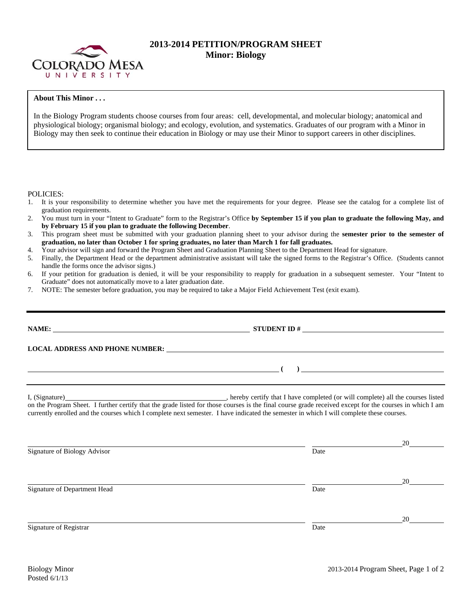

## **2013-2014 PETITION/PROGRAM SHEET Minor: Biology**

## **About This Minor . . .**

In the Biology Program students choose courses from four areas: cell, developmental, and molecular biology; anatomical and physiological biology; organismal biology; and ecology, evolution, and systematics. Graduates of our program with a Minor in Biology may then seek to continue their education in Biology or may use their Minor to support careers in other disciplines.

POLICIES:

- 1. It is your responsibility to determine whether you have met the requirements for your degree. Please see the catalog for a complete list of graduation requirements.
- 2. You must turn in your "Intent to Graduate" form to the Registrar's Office **by September 15 if you plan to graduate the following May, and by February 15 if you plan to graduate the following December**.
- 3. This program sheet must be submitted with your graduation planning sheet to your advisor during the **semester prior to the semester of graduation, no later than October 1 for spring graduates, no later than March 1 for fall graduates.**
- 4. Your advisor will sign and forward the Program Sheet and Graduation Planning Sheet to the Department Head for signature.
- 5. Finally, the Department Head or the department administrative assistant will take the signed forms to the Registrar's Office. (Students cannot handle the forms once the advisor signs.)
- 6. If your petition for graduation is denied, it will be your responsibility to reapply for graduation in a subsequent semester. Your "Intent to Graduate" does not automatically move to a later graduation date.
- 7. NOTE: The semester before graduation, you may be required to take a Major Field Achievement Test (exit exam).

| on the Program Sheet. I further certify that the grade listed for those courses is the final course grade received except for the courses in which I am<br>currently enrolled and the courses which I complete next semester. I have indicated the semester in which I will complete these courses. |
|-----------------------------------------------------------------------------------------------------------------------------------------------------------------------------------------------------------------------------------------------------------------------------------------------------|

<u>20</u> Signature of Biology Advisor Date and Security and Security and Security and Security and Security and Security and Security and Security and Security and Security and Security and Security and Security and Security and Se <u>20</u> Signature of Department Head Date Date of Department Head <u>20</u> Signature of Registrar Date and Separature of Registrar Date